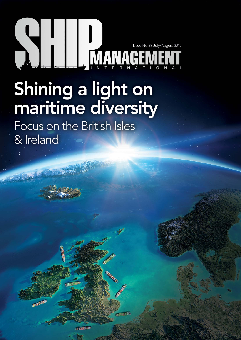

一定

**AN INTERFERE** 

## Shining a light on<br>maritime diversity

Focus on the British Isles & Ireland

如日常的